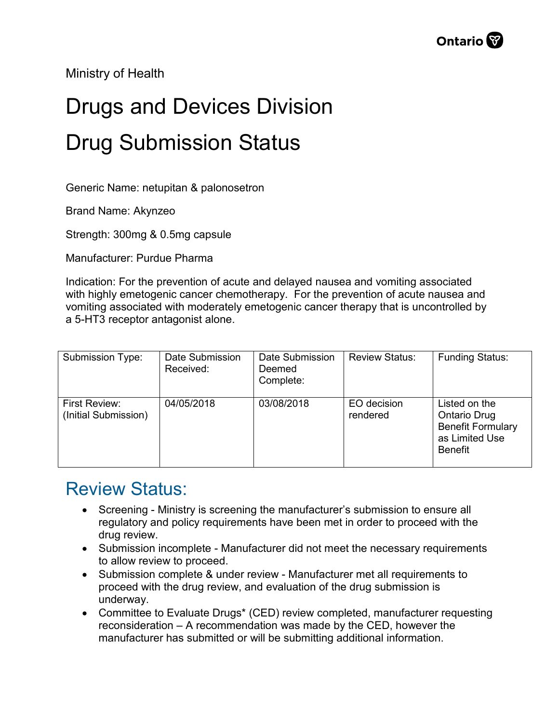Ministry of Health

## Drugs and Devices Division Drug Submission Status

Generic Name: netupitan & palonosetron

Brand Name: Akynzeo

Strength: 300mg & 0.5mg capsule

Manufacturer: Purdue Pharma

Indication: For the prevention of acute and delayed nausea and vomiting associated with highly emetogenic cancer chemotherapy. For the prevention of acute nausea and vomiting associated with moderately emetogenic cancer therapy that is uncontrolled by a 5-HT3 receptor antagonist alone.

| Submission Type:                      | Date Submission<br>Received: | Date Submission<br>Deemed<br>Complete: | <b>Review Status:</b>   | <b>Funding Status:</b>                                                                               |
|---------------------------------------|------------------------------|----------------------------------------|-------------------------|------------------------------------------------------------------------------------------------------|
| First Review:<br>(Initial Submission) | 04/05/2018                   | 03/08/2018                             | EO decision<br>rendered | Listed on the<br><b>Ontario Drug</b><br><b>Benefit Formulary</b><br>as Limited Use<br><b>Benefit</b> |

## Review Status:

- Screening Ministry is screening the manufacturer's submission to ensure all regulatory and policy requirements have been met in order to proceed with the drug review.
- Submission incomplete Manufacturer did not meet the necessary requirements to allow review to proceed.
- Submission complete & under review Manufacturer met all requirements to proceed with the drug review, and evaluation of the drug submission is underway.
- Committee to Evaluate Drugs\* (CED) review completed, manufacturer requesting reconsideration – A recommendation was made by the CED, however the manufacturer has submitted or will be submitting additional information.